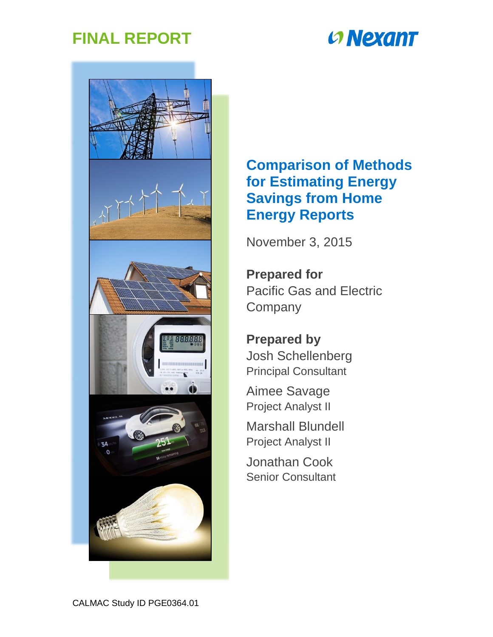## **FINAL REPORT**

# **CONEXANT**



## **Comparison of Methods for Estimating Energy Savings from Home Energy Reports**

November 3, 2015

**Prepared for** Pacific Gas and Electric **Company** 

**Prepared by** Josh Schellenberg Principal Consultant

Aimee Savage Project Analyst II

Marshall Blundell Project Analyst II

Jonathan Cook Senior Consultant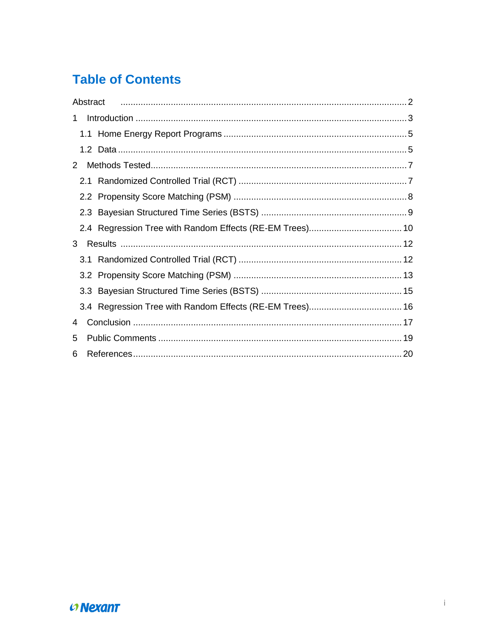## **Table of Contents**

|   | Abstract |  |
|---|----------|--|
| 1 |          |  |
|   |          |  |
|   |          |  |
| 2 |          |  |
|   |          |  |
|   |          |  |
|   |          |  |
|   |          |  |
| 3 |          |  |
|   |          |  |
|   |          |  |
|   |          |  |
|   |          |  |
| 4 |          |  |
| 5 |          |  |
| 6 |          |  |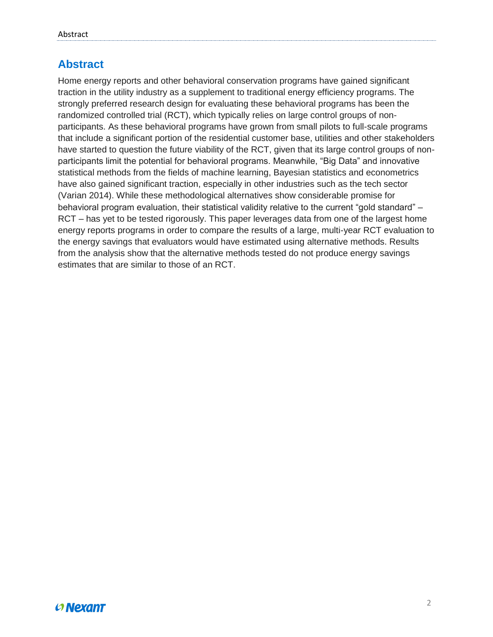## <span id="page-2-0"></span>**Abstract**

Home energy reports and other behavioral conservation programs have gained significant traction in the utility industry as a supplement to traditional energy efficiency programs. The strongly preferred research design for evaluating these behavioral programs has been the randomized controlled trial (RCT), which typically relies on large control groups of nonparticipants. As these behavioral programs have grown from small pilots to full-scale programs that include a significant portion of the residential customer base, utilities and other stakeholders have started to question the future viability of the RCT, given that its large control groups of nonparticipants limit the potential for behavioral programs. Meanwhile, "Big Data" and innovative statistical methods from the fields of machine learning, Bayesian statistics and econometrics have also gained significant traction, especially in other industries such as the tech sector (Varian 2014). While these methodological alternatives show considerable promise for behavioral program evaluation, their statistical validity relative to the current "gold standard" – RCT – has yet to be tested rigorously. This paper leverages data from one of the largest home energy reports programs in order to compare the results of a large, multi-year RCT evaluation to the energy savings that evaluators would have estimated using alternative methods. Results from the analysis show that the alternative methods tested do not produce energy savings estimates that are similar to those of an RCT.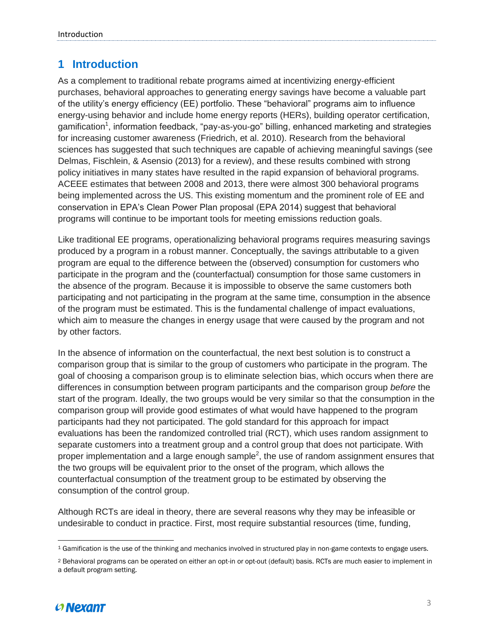## <span id="page-3-0"></span>**1 Introduction**

As a complement to traditional rebate programs aimed at incentivizing energy-efficient purchases, behavioral approaches to generating energy savings have become a valuable part of the utility's energy efficiency (EE) portfolio. These "behavioral" programs aim to influence energy-using behavior and include home energy reports (HERs), building operator certification, gamification<sup>1</sup>, information feedback, "pay-as-you-go" billing, enhanced marketing and strategies for increasing customer awareness (Friedrich, et al. 2010). Research from the behavioral sciences has suggested that such techniques are capable of achieving meaningful savings (see Delmas, Fischlein, & Asensio (2013) for a review), and these results combined with strong policy initiatives in many states have resulted in the rapid expansion of behavioral programs. ACEEE estimates that between 2008 and 2013, there were almost 300 behavioral programs being implemented across the US. This existing momentum and the prominent role of EE and conservation in EPA's Clean Power Plan proposal (EPA 2014) suggest that behavioral programs will continue to be important tools for meeting emissions reduction goals.

Like traditional EE programs, operationalizing behavioral programs requires measuring savings produced by a program in a robust manner. Conceptually, the savings attributable to a given program are equal to the difference between the (observed) consumption for customers who participate in the program and the (counterfactual) consumption for those same customers in the absence of the program. Because it is impossible to observe the same customers both participating and not participating in the program at the same time, consumption in the absence of the program must be estimated. This is the fundamental challenge of impact evaluations, which aim to measure the changes in energy usage that were caused by the program and not by other factors.

In the absence of information on the counterfactual, the next best solution is to construct a comparison group that is similar to the group of customers who participate in the program. The goal of choosing a comparison group is to eliminate selection bias, which occurs when there are differences in consumption between program participants and the comparison group *before* the start of the program. Ideally, the two groups would be very similar so that the consumption in the comparison group will provide good estimates of what would have happened to the program participants had they not participated. The gold standard for this approach for impact evaluations has been the randomized controlled trial (RCT), which uses random assignment to separate customers into a treatment group and a control group that does not participate. With proper implementation and a large enough sample<sup>2</sup>, the use of random assignment ensures that the two groups will be equivalent prior to the onset of the program, which allows the counterfactual consumption of the treatment group to be estimated by observing the consumption of the control group.

Although RCTs are ideal in theory, there are several reasons why they may be infeasible or undesirable to conduct in practice. First, most require substantial resources (time, funding,

<sup>2</sup> Behavioral programs can be operated on either an opt-in or opt-out (default) basis. RCTs are much easier to implement in a default program setting.



 $\overline{\phantom{a}}$ <sup>1</sup> Gamification is the use of the thinking and mechanics involved in structured play in non-game contexts to engage users.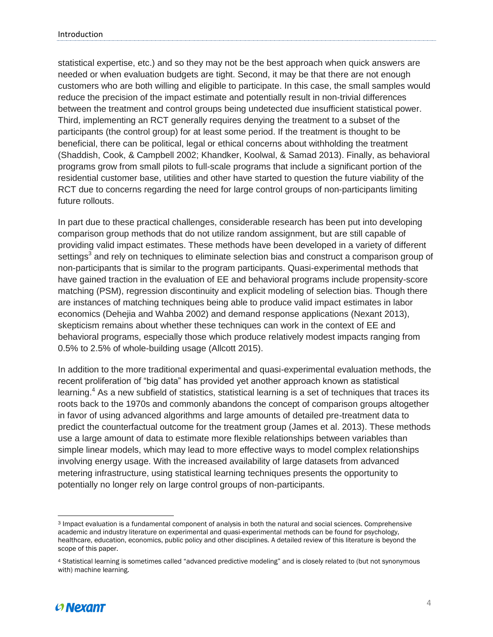statistical expertise, etc.) and so they may not be the best approach when quick answers are needed or when evaluation budgets are tight. Second, it may be that there are not enough customers who are both willing and eligible to participate. In this case, the small samples would reduce the precision of the impact estimate and potentially result in non-trivial differences between the treatment and control groups being undetected due insufficient statistical power. Third, implementing an RCT generally requires denying the treatment to a subset of the participants (the control group) for at least some period. If the treatment is thought to be beneficial, there can be political, legal or ethical concerns about withholding the treatment (Shaddish, Cook, & Campbell 2002; Khandker, Koolwal, & Samad 2013). Finally, as behavioral programs grow from small pilots to full-scale programs that include a significant portion of the residential customer base, utilities and other have started to question the future viability of the RCT due to concerns regarding the need for large control groups of non-participants limiting future rollouts.

In part due to these practical challenges, considerable research has been put into developing comparison group methods that do not utilize random assignment, but are still capable of providing valid impact estimates. These methods have been developed in a variety of different settings<sup>3</sup> and rely on techniques to eliminate selection bias and construct a comparison group of non-participants that is similar to the program participants. Quasi-experimental methods that have gained traction in the evaluation of EE and behavioral programs include propensity-score matching (PSM), regression discontinuity and explicit modeling of selection bias. Though there are instances of matching techniques being able to produce valid impact estimates in labor economics (Dehejia and Wahba 2002) and demand response applications (Nexant 2013), skepticism remains about whether these techniques can work in the context of EE and behavioral programs, especially those which produce relatively modest impacts ranging from 0.5% to 2.5% of whole-building usage (Allcott 2015).

In addition to the more traditional experimental and quasi-experimental evaluation methods, the recent proliferation of "big data" has provided yet another approach known as statistical learning.<sup>4</sup> As a new subfield of statistics, statistical learning is a set of techniques that traces its roots back to the 1970s and commonly abandons the concept of comparison groups altogether in favor of using advanced algorithms and large amounts of detailed pre-treatment data to predict the counterfactual outcome for the treatment group (James et al. 2013). These methods use a large amount of data to estimate more flexible relationships between variables than simple linear models, which may lead to more effective ways to model complex relationships involving energy usage. With the increased availability of large datasets from advanced metering infrastructure, using statistical learning techniques presents the opportunity to potentially no longer rely on large control groups of non-participants.

<sup>4</sup> Statistical learning is sometimes called "advanced predictive modeling" and is closely related to (but not synonymous with) machine learning.



 $\overline{a}$ 

<sup>3</sup> Impact evaluation is a fundamental component of analysis in both the natural and social sciences. Comprehensive academic and industry literature on experimental and quasi-experimental methods can be found for psychology, healthcare, education, economics, public policy and other disciplines. A detailed review of this literature is beyond the scope of this paper.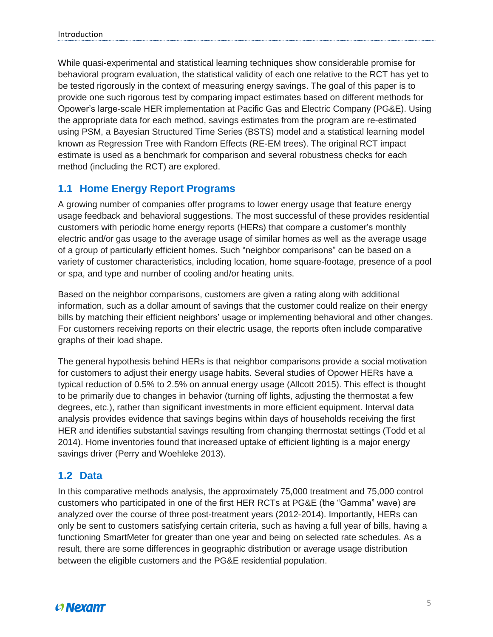While quasi-experimental and statistical learning techniques show considerable promise for behavioral program evaluation, the statistical validity of each one relative to the RCT has yet to be tested rigorously in the context of measuring energy savings. The goal of this paper is to provide one such rigorous test by comparing impact estimates based on different methods for Opower's large-scale HER implementation at Pacific Gas and Electric Company (PG&E). Using the appropriate data for each method, savings estimates from the program are re-estimated using PSM, a Bayesian Structured Time Series (BSTS) model and a statistical learning model known as Regression Tree with Random Effects (RE-EM trees). The original RCT impact estimate is used as a benchmark for comparison and several robustness checks for each method (including the RCT) are explored.

#### <span id="page-5-0"></span>**1.1 Home Energy Report Programs**

A growing number of companies offer programs to lower energy usage that feature energy usage feedback and behavioral suggestions. The most successful of these provides residential customers with periodic home energy reports (HERs) that compare a customer's monthly electric and/or gas usage to the average usage of similar homes as well as the average usage of a group of particularly efficient homes. Such "neighbor comparisons" can be based on a variety of customer characteristics, including location, home square-footage, presence of a pool or spa, and type and number of cooling and/or heating units.

Based on the neighbor comparisons, customers are given a rating along with additional information, such as a dollar amount of savings that the customer could realize on their energy bills by matching their efficient neighbors' usage or implementing behavioral and other changes. For customers receiving reports on their electric usage, the reports often include comparative graphs of their load shape.

The general hypothesis behind HERs is that neighbor comparisons provide a social motivation for customers to adjust their energy usage habits. Several studies of Opower HERs have a typical reduction of 0.5% to 2.5% on annual energy usage (Allcott 2015). This effect is thought to be primarily due to changes in behavior (turning off lights, adjusting the thermostat a few degrees, etc.), rather than significant investments in more efficient equipment. Interval data analysis provides evidence that savings begins within days of households receiving the first HER and identifies substantial savings resulting from changing thermostat settings (Todd et al 2014). Home inventories found that increased uptake of efficient lighting is a major energy savings driver (Perry and Woehleke 2013).

#### <span id="page-5-1"></span>**1.2 Data**

In this comparative methods analysis, the approximately 75,000 treatment and 75,000 control customers who participated in one of the first HER RCTs at PG&E (the "Gamma" wave) are analyzed over the course of three post-treatment years (2012-2014). Importantly, HERs can only be sent to customers satisfying certain criteria, such as having a full year of bills, having a functioning SmartMeter for greater than one year and being on selected rate schedules. As a result, there are some differences in geographic distribution or average usage distribution between the eligible customers and the PG&E residential population.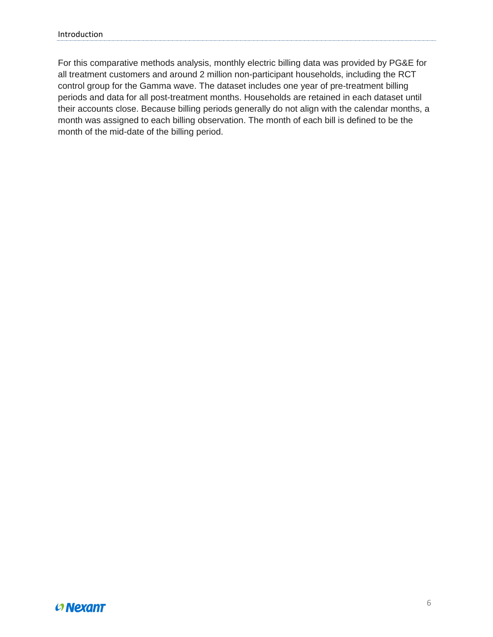For this comparative methods analysis, monthly electric billing data was provided by PG&E for all treatment customers and around 2 million non-participant households, including the RCT control group for the Gamma wave. The dataset includes one year of pre-treatment billing periods and data for all post-treatment months. Households are retained in each dataset until their accounts close. Because billing periods generally do not align with the calendar months, a month was assigned to each billing observation. The month of each bill is defined to be the month of the mid-date of the billing period.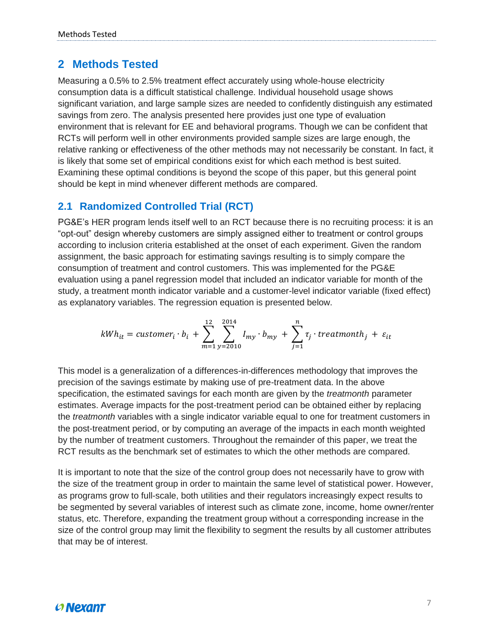### <span id="page-7-0"></span>**2 Methods Tested**

Measuring a 0.5% to 2.5% treatment effect accurately using whole-house electricity consumption data is a difficult statistical challenge. Individual household usage shows significant variation, and large sample sizes are needed to confidently distinguish any estimated savings from zero. The analysis presented here provides just one type of evaluation environment that is relevant for EE and behavioral programs. Though we can be confident that RCTs will perform well in other environments provided sample sizes are large enough, the relative ranking or effectiveness of the other methods may not necessarily be constant. In fact, it is likely that some set of empirical conditions exist for which each method is best suited. Examining these optimal conditions is beyond the scope of this paper, but this general point should be kept in mind whenever different methods are compared.

#### <span id="page-7-1"></span>**2.1 Randomized Controlled Trial (RCT)**

PG&E's HER program lends itself well to an RCT because there is no recruiting process: it is an "opt-out" design whereby customers are simply assigned either to treatment or control groups according to inclusion criteria established at the onset of each experiment. Given the random assignment, the basic approach for estimating savings resulting is to simply compare the consumption of treatment and control customers. This was implemented for the PG&E evaluation using a panel regression model that included an indicator variable for month of the study, a treatment month indicator variable and a customer-level indicator variable (fixed effect) as explanatory variables. The regression equation is presented below.

$$
kWh_{it} = customer_i \cdot b_i + \sum_{m=1}^{12} \sum_{y=2010}^{2014} l_{my} \cdot b_{my} + \sum_{j=1}^{n} \tau_j \cdot treatment_{ij} + \varepsilon_{it}
$$

This model is a generalization of a differences-in-differences methodology that improves the precision of the savings estimate by making use of pre-treatment data. In the above specification, the estimated savings for each month are given by the *treatmonth* parameter estimates. Average impacts for the post-treatment period can be obtained either by replacing the *treatmonth* variables with a single indicator variable equal to one for treatment customers in the post-treatment period, or by computing an average of the impacts in each month weighted by the number of treatment customers. Throughout the remainder of this paper, we treat the RCT results as the benchmark set of estimates to which the other methods are compared.

It is important to note that the size of the control group does not necessarily have to grow with the size of the treatment group in order to maintain the same level of statistical power. However, as programs grow to full-scale, both utilities and their regulators increasingly expect results to be segmented by several variables of interest such as climate zone, income, home owner/renter status, etc. Therefore, expanding the treatment group without a corresponding increase in the size of the control group may limit the flexibility to segment the results by all customer attributes that may be of interest.

## $O$  Nexant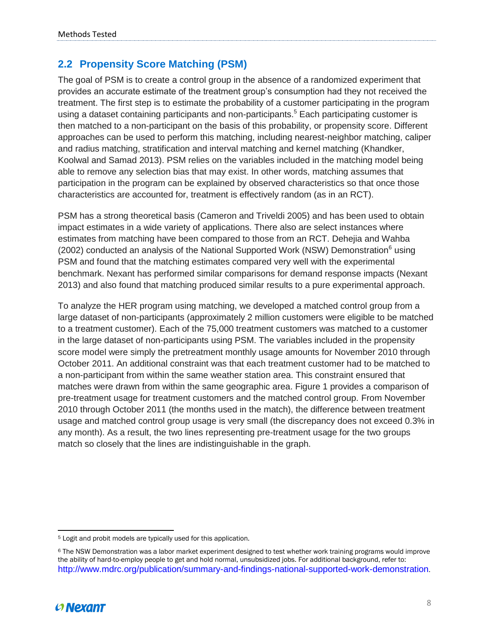### <span id="page-8-0"></span>**2.2 Propensity Score Matching (PSM)**

The goal of PSM is to create a control group in the absence of a randomized experiment that provides an accurate estimate of the treatment group's consumption had they not received the treatment. The first step is to estimate the probability of a customer participating in the program using a dataset containing participants and non-participants.<sup>5</sup> Each participating customer is then matched to a non-participant on the basis of this probability, or propensity score. Different approaches can be used to perform this matching, including nearest-neighbor matching, caliper and radius matching, stratification and interval matching and kernel matching (Khandker, Koolwal and Samad 2013). PSM relies on the variables included in the matching model being able to remove any selection bias that may exist. In other words, matching assumes that participation in the program can be explained by observed characteristics so that once those characteristics are accounted for, treatment is effectively random (as in an RCT).

PSM has a strong theoretical basis (Cameron and Triveldi 2005) and has been used to obtain impact estimates in a wide variety of applications. There also are select instances where estimates from matching have been compared to those from an RCT. Dehejia and Wahba (2002) conducted an analysis of the National Supported Work (NSW) Demonstration $<sup>6</sup>$  using</sup> PSM and found that the matching estimates compared very well with the experimental benchmark. Nexant has performed similar comparisons for demand response impacts (Nexant 2013) and also found that matching produced similar results to a pure experimental approach.

To analyze the HER program using matching, we developed a matched control group from a large dataset of non-participants (approximately 2 million customers were eligible to be matched to a treatment customer). Each of the 75,000 treatment customers was matched to a customer in the large dataset of non-participants using PSM. The variables included in the propensity score model were simply the pretreatment monthly usage amounts for November 2010 through October 2011. An additional constraint was that each treatment customer had to be matched to a non-participant from within the same weather station area. This constraint ensured that matches were drawn from within the same geographic area. Figure 1 provides a comparison of pre-treatment usage for treatment customers and the matched control group. From November 2010 through October 2011 (the months used in the match), the difference between treatment usage and matched control group usage is very small (the discrepancy does not exceed 0.3% in any month). As a result, the two lines representing pre-treatment usage for the two groups match so closely that the lines are indistinguishable in the graph.

<sup>6</sup> The NSW Demonstration was a labor market experiment designed to test whether work training programs would improve the ability of hard-to-employ people to get and hold normal, unsubsidized jobs. For additional background, refer to: <http://www.mdrc.org/publication/summary-and-findings-national-supported-work-demonstration>.



 $\overline{a}$ <sup>5</sup> Logit and probit models are typically used for this application.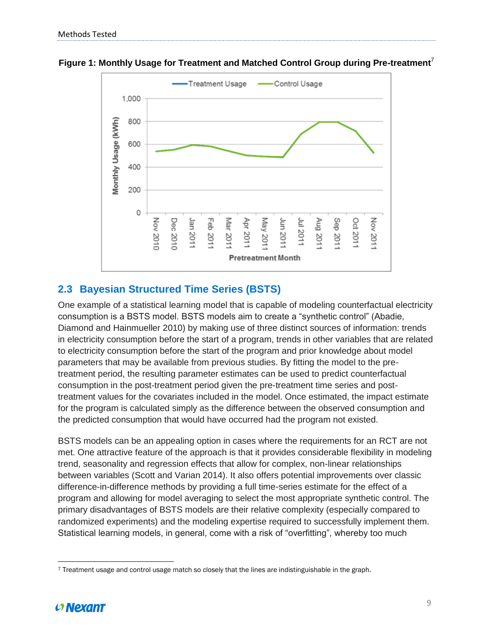

**Figure 1: Monthly Usage for Treatment and Matched Control Group during Pre-treatment**<sup>7</sup>

### <span id="page-9-0"></span>**2.3 Bayesian Structured Time Series (BSTS)**

One example of a statistical learning model that is capable of modeling counterfactual electricity consumption is a BSTS model. BSTS models aim to create a "synthetic control" (Abadie, Diamond and Hainmueller 2010) by making use of three distinct sources of information: trends in electricity consumption before the start of a program, trends in other variables that are related to electricity consumption before the start of the program and prior knowledge about model parameters that may be available from previous studies. By fitting the model to the pretreatment period, the resulting parameter estimates can be used to predict counterfactual consumption in the post-treatment period given the pre-treatment time series and posttreatment values for the covariates included in the model. Once estimated, the impact estimate for the program is calculated simply as the difference between the observed consumption and the predicted consumption that would have occurred had the program not existed.

BSTS models can be an appealing option in cases where the requirements for an RCT are not met. One attractive feature of the approach is that it provides considerable flexibility in modeling trend, seasonality and regression effects that allow for complex, non-linear relationships between variables (Scott and Varian 2014). It also offers potential improvements over classic difference-in-difference methods by providing a full time-series estimate for the effect of a program and allowing for model averaging to select the most appropriate synthetic control. The primary disadvantages of BSTS models are their relative complexity (especially compared to randomized experiments) and the modeling expertise required to successfully implement them. Statistical learning models, in general, come with a risk of "overfitting", whereby too much

 $\overline{a}$ <sup>7</sup> Treatment usage and control usage match so closely that the lines are indistinguishable in the graph.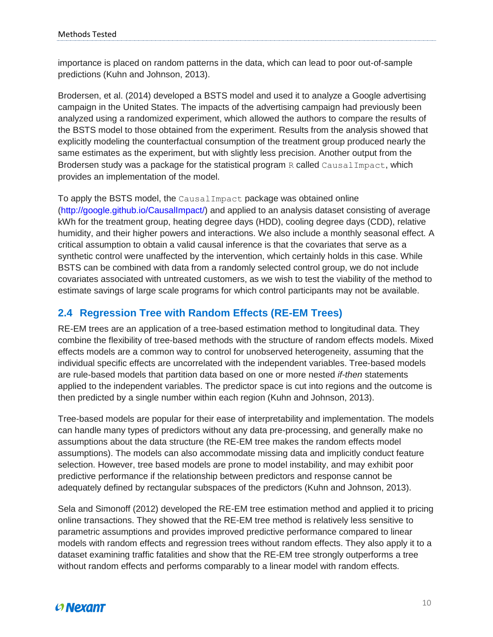importance is placed on random patterns in the data, which can lead to poor out-of-sample predictions (Kuhn and Johnson, 2013).

Brodersen, et al. (2014) developed a BSTS model and used it to analyze a Google advertising campaign in the United States. The impacts of the advertising campaign had previously been analyzed using a randomized experiment, which allowed the authors to compare the results of the BSTS model to those obtained from the experiment. Results from the analysis showed that explicitly modeling the counterfactual consumption of the treatment group produced nearly the same estimates as the experiment, but with slightly less precision. Another output from the Brodersen study was a package for the statistical program R called  $\text{CausalImpact},$  which provides an implementation of the model.

To apply the BSTS model, the CausalImpact package was obtained online [\(http://google.github.io/CausalImpact/\)](http://google.github.io/CausalImpact/) and applied to an analysis dataset consisting of average kWh for the treatment group, heating degree days (HDD), cooling degree days (CDD), relative humidity, and their higher powers and interactions. We also include a monthly seasonal effect. A critical assumption to obtain a valid causal inference is that the covariates that serve as a synthetic control were unaffected by the intervention, which certainly holds in this case. While BSTS can be combined with data from a randomly selected control group, we do not include covariates associated with untreated customers, as we wish to test the viability of the method to estimate savings of large scale programs for which control participants may not be available.

#### <span id="page-10-0"></span>**2.4 Regression Tree with Random Effects (RE-EM Trees)**

RE-EM trees are an application of a tree-based estimation method to longitudinal data. They combine the flexibility of tree-based methods with the structure of random effects models. Mixed effects models are a common way to control for unobserved heterogeneity, assuming that the individual specific effects are uncorrelated with the independent variables. Tree-based models are rule-based models that partition data based on one or more nested *if-then* statements applied to the independent variables. The predictor space is cut into regions and the outcome is then predicted by a single number within each region (Kuhn and Johnson, 2013).

Tree-based models are popular for their ease of interpretability and implementation. The models can handle many types of predictors without any data pre-processing, and generally make no assumptions about the data structure (the RE-EM tree makes the random effects model assumptions). The models can also accommodate missing data and implicitly conduct feature selection. However, tree based models are prone to model instability, and may exhibit poor predictive performance if the relationship between predictors and response cannot be adequately defined by rectangular subspaces of the predictors (Kuhn and Johnson, 2013).

Sela and Simonoff (2012) developed the RE-EM tree estimation method and applied it to pricing online transactions. They showed that the RE-EM tree method is relatively less sensitive to parametric assumptions and provides improved predictive performance compared to linear models with random effects and regression trees without random effects. They also apply it to a dataset examining traffic fatalities and show that the RE-EM tree strongly outperforms a tree without random effects and performs comparably to a linear model with random effects.

## $O$  Nexant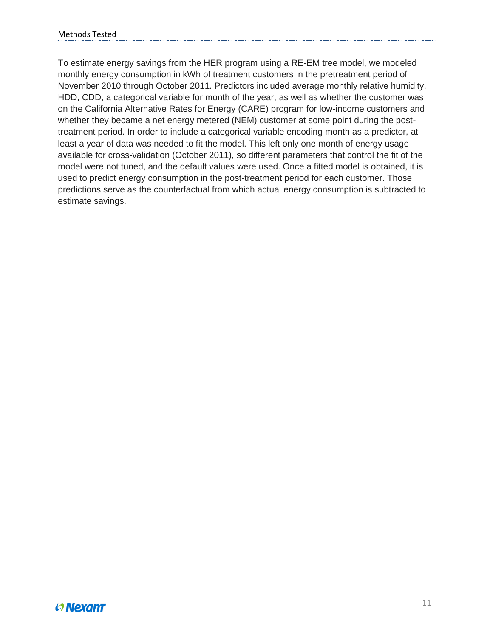To estimate energy savings from the HER program using a RE-EM tree model, we modeled monthly energy consumption in kWh of treatment customers in the pretreatment period of November 2010 through October 2011. Predictors included average monthly relative humidity, HDD, CDD, a categorical variable for month of the year, as well as whether the customer was on the California Alternative Rates for Energy (CARE) program for low-income customers and whether they became a net energy metered (NEM) customer at some point during the posttreatment period. In order to include a categorical variable encoding month as a predictor, at least a year of data was needed to fit the model. This left only one month of energy usage available for cross-validation (October 2011), so different parameters that control the fit of the model were not tuned, and the default values were used. Once a fitted model is obtained, it is used to predict energy consumption in the post-treatment period for each customer. Those predictions serve as the counterfactual from which actual energy consumption is subtracted to estimate savings.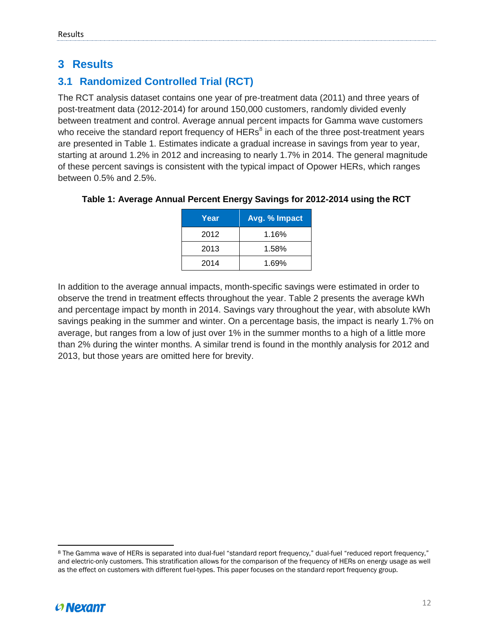### <span id="page-12-0"></span>**3 Results**

## <span id="page-12-1"></span>**3.1 Randomized Controlled Trial (RCT)**

The RCT analysis dataset contains one year of pre-treatment data (2011) and three years of post-treatment data (2012-2014) for around 150,000 customers, randomly divided evenly between treatment and control. Average annual percent impacts for Gamma wave customers who receive the standard report frequency of HERs<sup>8</sup> in each of the three post-treatment years are presented in Table 1. Estimates indicate a gradual increase in savings from year to year, starting at around 1.2% in 2012 and increasing to nearly 1.7% in 2014. The general magnitude of these percent savings is consistent with the typical impact of Opower HERs, which ranges between 0.5% and 2.5%.

#### **Table 1: Average Annual Percent Energy Savings for 2012-2014 using the RCT**

| Year | Avg. % Impact |
|------|---------------|
| 2012 | 1.16%         |
| 2013 | 1.58%         |
| 2014 | 1.69%         |

In addition to the average annual impacts, month-specific savings were estimated in order to observe the trend in treatment effects throughout the year. Table 2 presents the average kWh and percentage impact by month in 2014. Savings vary throughout the year, with absolute kWh savings peaking in the summer and winter. On a percentage basis, the impact is nearly 1.7% on average, but ranges from a low of just over 1% in the summer months to a high of a little more than 2% during the winter months. A similar trend is found in the monthly analysis for 2012 and 2013, but those years are omitted here for brevity.

<sup>8</sup> The Gamma wave of HERs is separated into dual-fuel "standard report frequency," dual-fuel "reduced report frequency," and electric-only customers. This stratification allows for the comparison of the frequency of HERs on energy usage as well as the effect on customers with different fuel-types. This paper focuses on the standard report frequency group.



 $\overline{\phantom{a}}$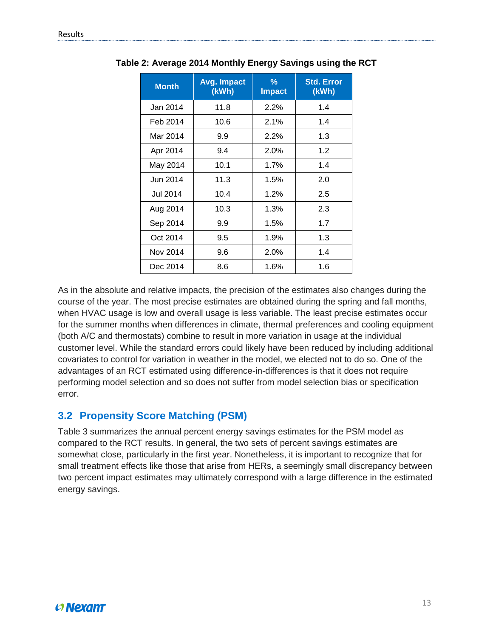| <b>Month</b>    | Avg. Impact<br>(kWh) | $\frac{9}{6}$<br><b>Impact</b> | <b>Std. Error</b><br>(kWh) |
|-----------------|----------------------|--------------------------------|----------------------------|
| Jan 2014        | 11.8                 | 2.2%                           | 1.4                        |
| Feb 2014        | 10.6                 | 2.1%                           | 1.4                        |
| Mar 2014        | 9.9                  | $2.2\%$                        | 1.3                        |
| Apr 2014        | 9.4                  | 2.0%                           | 1.2                        |
| May 2014        | 10.1                 | 1.7%                           | 1.4                        |
| Jun 2014        | 11.3                 | 1.5%                           | 2.0                        |
| <b>Jul 2014</b> | 10.4                 | 1.2%                           | 2.5                        |
| Aug 2014        | 10.3                 | 1.3%                           | 2.3                        |
| Sep 2014        | 9.9                  | 1.5%                           | 1.7                        |
| Oct 2014        | 9.5                  | 1.9%                           | 1.3                        |
| Nov 2014        | 9.6                  | 2.0%                           | 1.4                        |
| Dec 2014        | 8.6                  | 1.6%                           | 1.6                        |

**Table 2: Average 2014 Monthly Energy Savings using the RCT**

As in the absolute and relative impacts, the precision of the estimates also changes during the course of the year. The most precise estimates are obtained during the spring and fall months, when HVAC usage is low and overall usage is less variable. The least precise estimates occur for the summer months when differences in climate, thermal preferences and cooling equipment (both A/C and thermostats) combine to result in more variation in usage at the individual customer level. While the standard errors could likely have been reduced by including additional covariates to control for variation in weather in the model, we elected not to do so. One of the advantages of an RCT estimated using difference-in-differences is that it does not require performing model selection and so does not suffer from model selection bias or specification error.

#### <span id="page-13-0"></span>**3.2 Propensity Score Matching (PSM)**

Table 3 summarizes the annual percent energy savings estimates for the PSM model as compared to the RCT results. In general, the two sets of percent savings estimates are somewhat close, particularly in the first year. Nonetheless, it is important to recognize that for small treatment effects like those that arise from HERs, a seemingly small discrepancy between two percent impact estimates may ultimately correspond with a large difference in the estimated energy savings.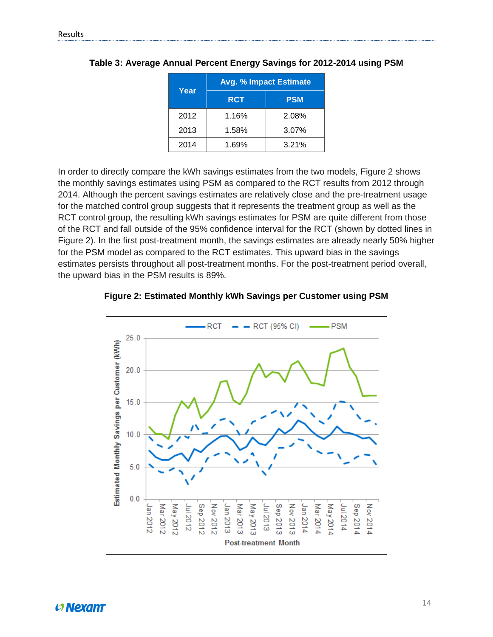| Year | <b>Avg. % Impact Estimate</b> |            |  |  |
|------|-------------------------------|------------|--|--|
|      | <b>RCT</b>                    | <b>PSM</b> |  |  |
| 2012 | 1.16%                         | 2.08%      |  |  |
| 2013 | 1.58%                         | 3.07%      |  |  |
| 2014 | 1.69%                         | 3.21%      |  |  |

**Table 3: Average Annual Percent Energy Savings for 2012-2014 using PSM**

In order to directly compare the kWh savings estimates from the two models, Figure 2 shows the monthly savings estimates using PSM as compared to the RCT results from 2012 through 2014. Although the percent savings estimates are relatively close and the pre-treatment usage for the matched control group suggests that it represents the treatment group as well as the RCT control group, the resulting kWh savings estimates for PSM are quite different from those of the RCT and fall outside of the 95% confidence interval for the RCT (shown by dotted lines in Figure 2). In the first post-treatment month, the savings estimates are already nearly 50% higher for the PSM model as compared to the RCT estimates. This upward bias in the savings estimates persists throughout all post-treatment months. For the post-treatment period overall, the upward bias in the PSM results is 89%.



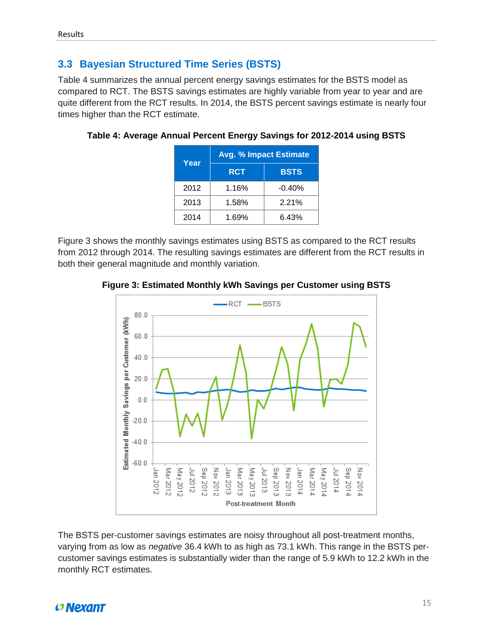#### <span id="page-15-0"></span>**3.3 Bayesian Structured Time Series (BSTS)**

Table 4 summarizes the annual percent energy savings estimates for the BSTS model as compared to RCT. The BSTS savings estimates are highly variable from year to year and are quite different from the RCT results. In 2014, the BSTS percent savings estimate is nearly four times higher than the RCT estimate.

| Year | <b>Avg. % Impact Estimate</b> |             |  |  |
|------|-------------------------------|-------------|--|--|
|      | <b>RCT</b>                    | <b>BSTS</b> |  |  |
| 2012 | 1.16%                         | $-0.40%$    |  |  |
| 2013 | 1.58%                         | 2.21%       |  |  |
| 2014 | 1.69%                         | 6.43%       |  |  |

**Table 4: Average Annual Percent Energy Savings for 2012-2014 using BSTS**

Figure 3 shows the monthly savings estimates using BSTS as compared to the RCT results from 2012 through 2014. The resulting savings estimates are different from the RCT results in both their general magnitude and monthly variation.





The BSTS per-customer savings estimates are noisy throughout all post-treatment months, varying from as low as *negative* 36.4 kWh to as high as 73.1 kWh. This range in the BSTS percustomer savings estimates is substantially wider than the range of 5.9 kWh to 12.2 kWh in the monthly RCT estimates.

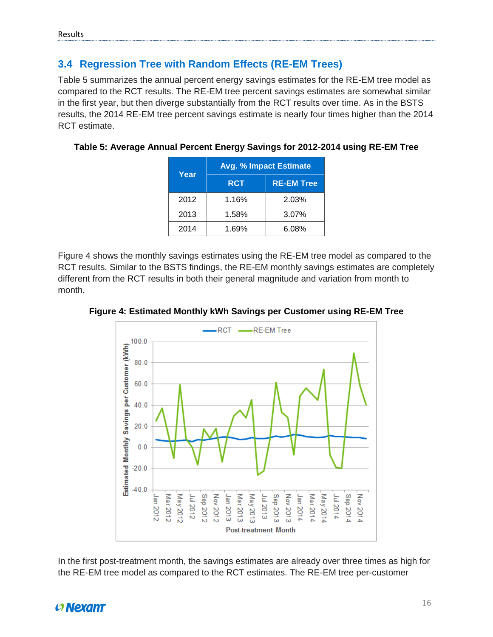#### <span id="page-16-0"></span>**3.4 Regression Tree with Random Effects (RE-EM Trees)**

Table 5 summarizes the annual percent energy savings estimates for the RE-EM tree model as compared to the RCT results. The RE-EM tree percent savings estimates are somewhat similar in the first year, but then diverge substantially from the RCT results over time. As in the BSTS results, the 2014 RE-EM tree percent savings estimate is nearly four times higher than the 2014 RCT estimate.

| Year | <b>Avg. % Impact Estimate</b> |                   |  |  |
|------|-------------------------------|-------------------|--|--|
|      | <b>RCT</b>                    | <b>RE-EM Tree</b> |  |  |
| 2012 | 1.16%                         | 2.03%             |  |  |
| 2013 | 1.58%                         | 3.07%             |  |  |
| 2014 | 1.69%                         | 6.08%             |  |  |

#### **Table 5: Average Annual Percent Energy Savings for 2012-2014 using RE-EM Tree**

Figure 4 shows the monthly savings estimates using the RE-EM tree model as compared to the RCT results. Similar to the BSTS findings, the RE-EM monthly savings estimates are completely different from the RCT results in both their general magnitude and variation from month to month.



**Figure 4: Estimated Monthly kWh Savings per Customer using RE-EM Tree** 

In the first post-treatment month, the savings estimates are already over three times as high for the RE-EM tree model as compared to the RCT estimates. The RE-EM tree per-customer

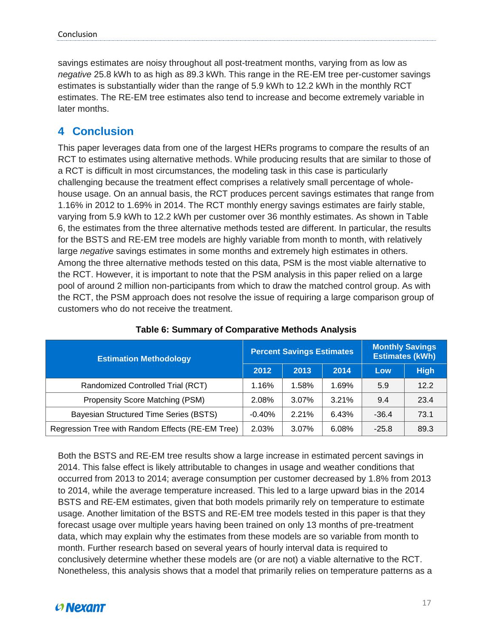savings estimates are noisy throughout all post-treatment months, varying from as low as *negative* 25.8 kWh to as high as 89.3 kWh. This range in the RE-EM tree per-customer savings estimates is substantially wider than the range of 5.9 kWh to 12.2 kWh in the monthly RCT estimates. The RE-EM tree estimates also tend to increase and become extremely variable in later months.

## <span id="page-17-0"></span>**4 Conclusion**

This paper leverages data from one of the largest HERs programs to compare the results of an RCT to estimates using alternative methods. While producing results that are similar to those of a RCT is difficult in most circumstances, the modeling task in this case is particularly challenging because the treatment effect comprises a relatively small percentage of wholehouse usage. On an annual basis, the RCT produces percent savings estimates that range from 1.16% in 2012 to 1.69% in 2014. The RCT monthly energy savings estimates are fairly stable, varying from 5.9 kWh to 12.2 kWh per customer over 36 monthly estimates. As shown in Table 6, the estimates from the three alternative methods tested are different. In particular, the results for the BSTS and RE-EM tree models are highly variable from month to month, with relatively large *negative* savings estimates in some months and extremely high estimates in others. Among the three alternative methods tested on this data, PSM is the most viable alternative to the RCT. However, it is important to note that the PSM analysis in this paper relied on a large pool of around 2 million non-participants from which to draw the matched control group. As with the RCT, the PSM approach does not resolve the issue of requiring a large comparison group of customers who do not receive the treatment.

| <b>Estimation Methodology</b>                    | <b>Percent Savings Estimates</b> |       |       | <b>Monthly Savings</b><br><b>Estimates (kWh)</b> |             |
|--------------------------------------------------|----------------------------------|-------|-------|--------------------------------------------------|-------------|
|                                                  | 2012                             | 2013  | 2014  | Low                                              | <b>High</b> |
| Randomized Controlled Trial (RCT)                | 1.16%                            | 1.58% | 1.69% | 5.9                                              | 12.2        |
| Propensity Score Matching (PSM)                  | 2.08%                            | 3.07% | 3.21% | 9.4                                              | 23.4        |
| Bayesian Structured Time Series (BSTS)           | $-0.40%$                         | 2.21% | 6.43% | $-36.4$                                          | 73.1        |
| Regression Tree with Random Effects (RE-EM Tree) | 2.03%                            | 3.07% | 6.08% | $-25.8$                                          | 89.3        |

#### **Table 6: Summary of Comparative Methods Analysis**

Both the BSTS and RE-EM tree results show a large increase in estimated percent savings in 2014. This false effect is likely attributable to changes in usage and weather conditions that occurred from 2013 to 2014; average consumption per customer decreased by 1.8% from 2013 to 2014, while the average temperature increased. This led to a large upward bias in the 2014 BSTS and RE-EM estimates, given that both models primarily rely on temperature to estimate usage. Another limitation of the BSTS and RE-EM tree models tested in this paper is that they forecast usage over multiple years having been trained on only 13 months of pre-treatment data, which may explain why the estimates from these models are so variable from month to month. Further research based on several years of hourly interval data is required to conclusively determine whether these models are (or are not) a viable alternative to the RCT. Nonetheless, this analysis shows that a model that primarily relies on temperature patterns as a

## $O$  Nexant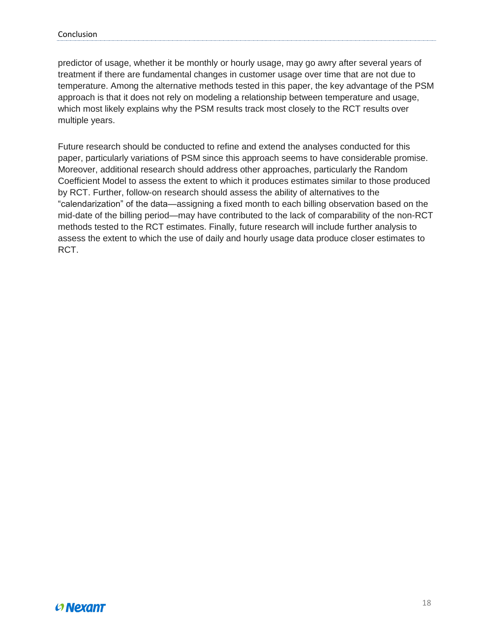predictor of usage, whether it be monthly or hourly usage, may go awry after several years of treatment if there are fundamental changes in customer usage over time that are not due to temperature. Among the alternative methods tested in this paper, the key advantage of the PSM approach is that it does not rely on modeling a relationship between temperature and usage, which most likely explains why the PSM results track most closely to the RCT results over multiple years.

Future research should be conducted to refine and extend the analyses conducted for this paper, particularly variations of PSM since this approach seems to have considerable promise. Moreover, additional research should address other approaches, particularly the Random Coefficient Model to assess the extent to which it produces estimates similar to those produced by RCT. Further, follow-on research should assess the ability of alternatives to the "calendarization" of the data—assigning a fixed month to each billing observation based on the mid-date of the billing period—may have contributed to the lack of comparability of the non-RCT methods tested to the RCT estimates. Finally, future research will include further analysis to assess the extent to which the use of daily and hourly usage data produce closer estimates to RCT.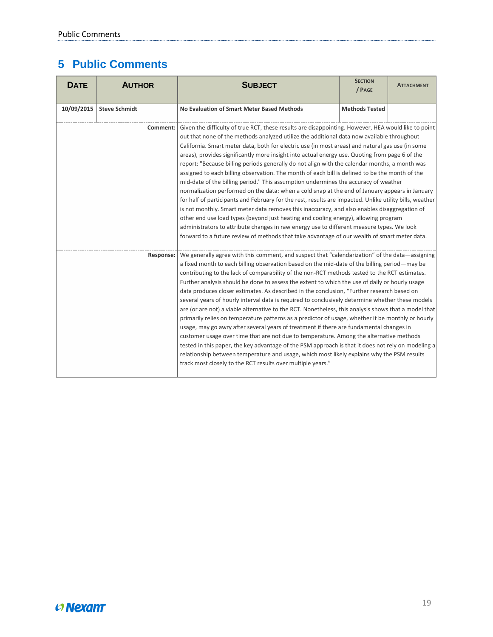## <span id="page-19-0"></span>**5 Public Comments**

| <b>DATE</b> | <b>AUTHOR</b>        | <b>SUBJECT</b>                                                                                                                                                                                                                                                                                                                                                                                                                                                                                                                                                                                                                                                                                                                                                                                                                                                                                                                                                                                                                                                                                                                                                                                                                                                                                                     | <b>SECTION</b><br>/ PAGE | <b>ATTACHMENT</b> |
|-------------|----------------------|--------------------------------------------------------------------------------------------------------------------------------------------------------------------------------------------------------------------------------------------------------------------------------------------------------------------------------------------------------------------------------------------------------------------------------------------------------------------------------------------------------------------------------------------------------------------------------------------------------------------------------------------------------------------------------------------------------------------------------------------------------------------------------------------------------------------------------------------------------------------------------------------------------------------------------------------------------------------------------------------------------------------------------------------------------------------------------------------------------------------------------------------------------------------------------------------------------------------------------------------------------------------------------------------------------------------|--------------------------|-------------------|
| 10/09/2015  | <b>Steve Schmidt</b> | No Evaluation of Smart Meter Based Methods                                                                                                                                                                                                                                                                                                                                                                                                                                                                                                                                                                                                                                                                                                                                                                                                                                                                                                                                                                                                                                                                                                                                                                                                                                                                         | <b>Methods Tested</b>    |                   |
|             |                      | <b>Comment:</b> Given the difficulty of true RCT, these results are disappointing. However, HEA would like to point<br>out that none of the methods analyzed utilize the additional data now available throughout<br>California. Smart meter data, both for electric use (in most areas) and natural gas use (in some<br>areas), provides significantly more insight into actual energy use. Quoting from page 6 of the<br>report: "Because billing periods generally do not align with the calendar months, a month was<br>assigned to each billing observation. The month of each bill is defined to be the month of the<br>mid-date of the billing period." This assumption undermines the accuracy of weather<br>normalization performed on the data: when a cold snap at the end of January appears in January<br>for half of participants and February for the rest, results are impacted. Unlike utility bills, weather<br>is not monthly. Smart meter data removes this inaccuracy, and also enables disaggregation of<br>other end use load types (beyond just heating and cooling energy), allowing program<br>administrators to attribute changes in raw energy use to different measure types. We look<br>forward to a future review of methods that take advantage of our wealth of smart meter data. |                          |                   |
|             |                      | Response: We generally agree with this comment, and suspect that "calendarization" of the data—assigning<br>a fixed month to each billing observation based on the mid-date of the billing period—may be<br>contributing to the lack of comparability of the non-RCT methods tested to the RCT estimates.<br>Further analysis should be done to assess the extent to which the use of daily or hourly usage<br>data produces closer estimates. As described in the conclusion, "Further research based on<br>several years of hourly interval data is required to conclusively determine whether these models<br>are (or are not) a viable alternative to the RCT. Nonetheless, this analysis shows that a model that<br>primarily relies on temperature patterns as a predictor of usage, whether it be monthly or hourly<br>usage, may go awry after several years of treatment if there are fundamental changes in<br>customer usage over time that are not due to temperature. Among the alternative methods<br>tested in this paper, the key advantage of the PSM approach is that it does not rely on modeling a<br>relationship between temperature and usage, which most likely explains why the PSM results<br>track most closely to the RCT results over multiple years."                                |                          |                   |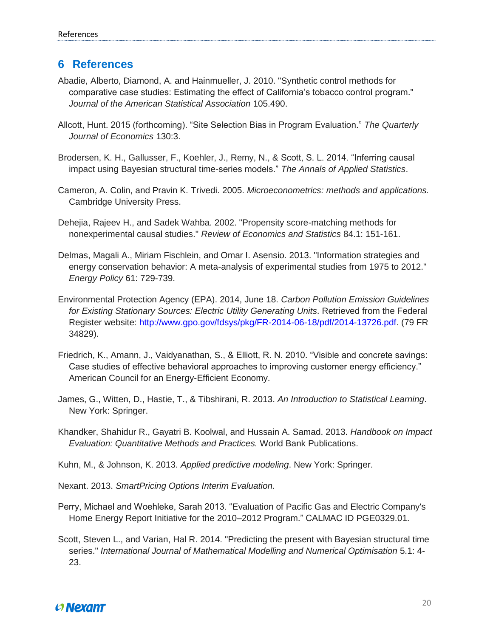#### <span id="page-20-0"></span>**6 References**

- Abadie, Alberto, Diamond, A. and Hainmueller, J. 2010. "Synthetic control methods for comparative case studies: Estimating the effect of California's tobacco control program." *Journal of the American Statistical Association* 105.490.
- Allcott, Hunt. 2015 (forthcoming). "Site Selection Bias in Program Evaluation." *The Quarterly Journal of Economics* 130:3.
- Brodersen, K. H., Gallusser, F., Koehler, J., Remy, N., & Scott, S. L. 2014. "Inferring causal impact using Bayesian structural time-series models." *The Annals of Applied Statistics*.
- Cameron, A. Colin, and Pravin K. Trivedi. 2005. *Microeconometrics: methods and applications.* Cambridge University Press.
- Dehejia, Rajeev H., and Sadek Wahba. 2002. "Propensity score-matching methods for nonexperimental causal studies." *Review of Economics and Statistics* 84.1: 151-161.
- Delmas, Magali A., Miriam Fischlein, and Omar I. Asensio. 2013. "Information strategies and energy conservation behavior: A meta-analysis of experimental studies from 1975 to 2012." *Energy Policy* 61: 729-739.
- Environmental Protection Agency (EPA). 2014, June 18. *Carbon Pollution Emission Guidelines for Existing Stationary Sources: Electric Utility Generating Units*. Retrieved from the Federal Register website: [http://www.gpo.gov/fdsys/pkg/FR-2014-06-18/pdf/2014-13726.pdf.](http://www.gpo.gov/fdsys/pkg/FR-2014-06-18/pdf/2014-13726.pdf) (79 FR 34829).
- Friedrich, K., Amann, J., Vaidyanathan, S., & Elliott, R. N. 2010. "Visible and concrete savings: Case studies of effective behavioral approaches to improving customer energy efficiency." American Council for an Energy-Efficient Economy.
- James, G., Witten, D., Hastie, T., & Tibshirani, R. 2013. *An Introduction to Statistical Learning*. New York: Springer.
- Khandker, Shahidur R., Gayatri B. Koolwal, and Hussain A. Samad. 2013. *Handbook on Impact Evaluation: Quantitative Methods and Practices.* World Bank Publications.
- Kuhn, M., & Johnson, K. 2013. *Applied predictive modeling*. New York: Springer.
- Nexant. 2013. *SmartPricing Options Interim Evaluation.*
- Perry, Michael and Woehleke, Sarah 2013. "Evaluation of Pacific Gas and Electric Company's Home Energy Report Initiative for the 2010–2012 Program." CALMAC ID PGE0329.01.
- Scott, Steven L., and Varian, Hal R. 2014. "Predicting the present with Bayesian structural time series." *International Journal of Mathematical Modelling and Numerical Optimisation* 5.1: 4- 23.